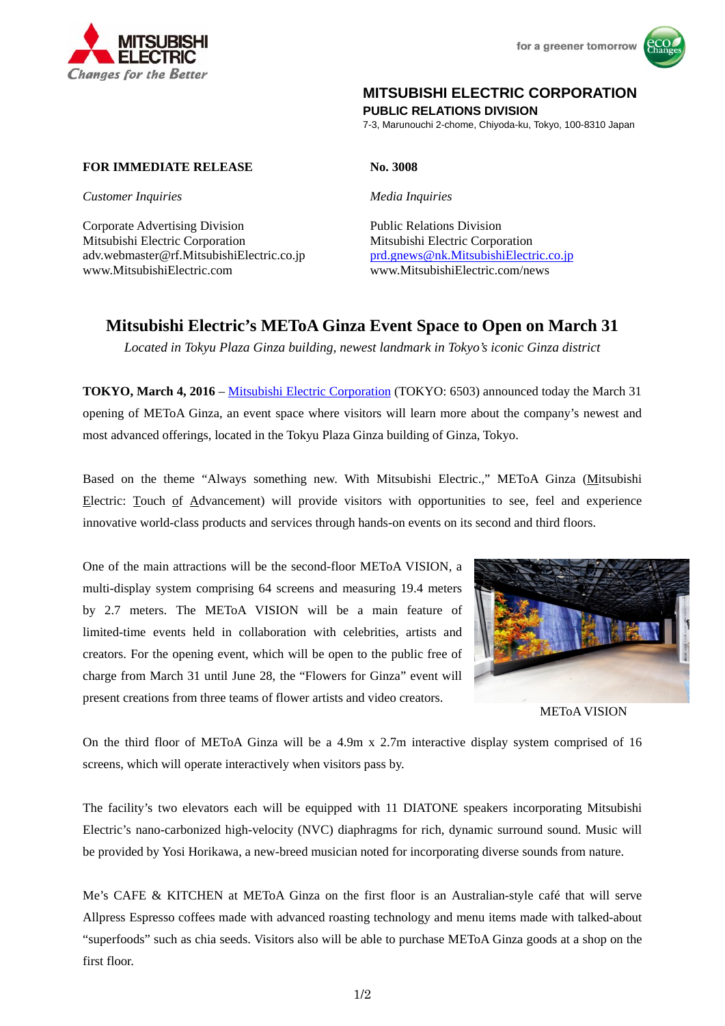



## **MITSUBISHI ELECTRIC CORPORATION**

**PUBLIC RELATIONS DIVISION** 

7-3, Marunouchi 2-chome, Chiyoda-ku, Tokyo, 100-8310 Japan

## **FOR IMMEDIATE RELEASE No. 3008**

*Customer Inquiries Media Inquiries*

Corporate Advertising Division<br>
Public Relations Division Mitsubishi Electric Corporation Mitsubishi Electric Corporation adv.webmaster@rf.MitsubishiElectric.co.jp prd.gnews@nk.MitsubishiElectric.co.jp www.MitsubishiElectric.com www.MitsubishiElectric.com/news

# **Mitsubishi Electric's METoA Ginza Event Space to Open on March 31**

*Located in Tokyu Plaza Ginza building, newest landmark in Tokyo's iconic Ginza district* 

**TOKYO, March 4, 2016** – Mitsubishi Electric Corporation (TOKYO: 6503) announced today the March 31 opening of METoA Ginza, an event space where visitors will learn more about the company's newest and most advanced offerings, located in the Tokyu Plaza Ginza building of Ginza, Tokyo.

Based on the theme "Always something new. With Mitsubishi Electric.," METoA Ginza (Mitsubishi Electric: Touch of Advancement) will provide visitors with opportunities to see, feel and experience innovative world-class products and services through hands-on events on its second and third floors.

One of the main attractions will be the second-floor METoA VISION, a multi-display system comprising 64 screens and measuring 19.4 meters by 2.7 meters. The METoA VISION will be a main feature of limited-time events held in collaboration with celebrities, artists and creators. For the opening event, which will be open to the public free of charge from March 31 until June 28, the "Flowers for Ginza" event will present creations from three teams of flower artists and video creators.



METoA VISION

On the third floor of METoA Ginza will be a 4.9m x 2.7m interactive display system comprised of 16 screens, which will operate interactively when visitors pass by.

The facility's two elevators each will be equipped with 11 DIATONE speakers incorporating Mitsubishi Electric's nano-carbonized high-velocity (NVC) diaphragms for rich, dynamic surround sound. Music will be provided by Yosi Horikawa, a new-breed musician noted for incorporating diverse sounds from nature.

Me's CAFE & KITCHEN at METoA Ginza on the first floor is an Australian-style café that will serve Allpress Espresso coffees made with advanced roasting technology and menu items made with talked-about "superfoods" such as chia seeds. Visitors also will be able to purchase METoA Ginza goods at a shop on the first floor.